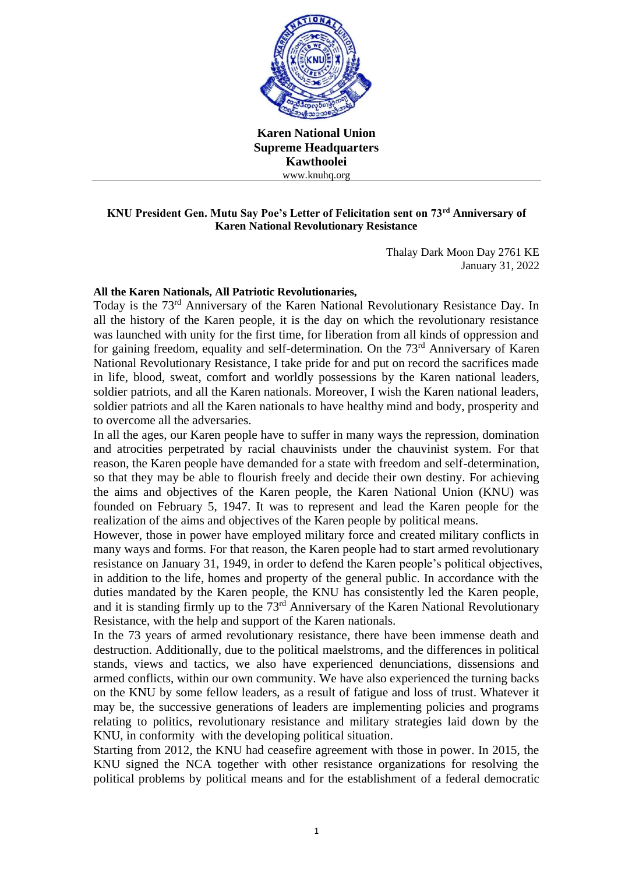

**Karen National Union Supreme Headquarters Kawthoolei** www.knuhq.org

## **KNU President Gen. Mutu Say Poe's Letter of Felicitation sent on 73rd Anniversary of Karen National Revolutionary Resistance**

Thalay Dark Moon Day 2761 KE January 31, 2022

## **All the Karen Nationals, All Patriotic Revolutionaries,**

Today is the 73rd Anniversary of the Karen National Revolutionary Resistance Day. In all the history of the Karen people, it is the day on which the revolutionary resistance was launched with unity for the first time, for liberation from all kinds of oppression and for gaining freedom, equality and self-determination. On the 73<sup>rd</sup> Anniversary of Karen National Revolutionary Resistance, I take pride for and put on record the sacrifices made in life, blood, sweat, comfort and worldly possessions by the Karen national leaders, soldier patriots, and all the Karen nationals. Moreover, I wish the Karen national leaders, soldier patriots and all the Karen nationals to have healthy mind and body, prosperity and to overcome all the adversaries.

In all the ages, our Karen people have to suffer in many ways the repression, domination and atrocities perpetrated by racial chauvinists under the chauvinist system. For that reason, the Karen people have demanded for a state with freedom and self-determination, so that they may be able to flourish freely and decide their own destiny. For achieving the aims and objectives of the Karen people, the Karen National Union (KNU) was founded on February 5, 1947. It was to represent and lead the Karen people for the realization of the aims and objectives of the Karen people by political means.

However, those in power have employed military force and created military conflicts in many ways and forms. For that reason, the Karen people had to start armed revolutionary resistance on January 31, 1949, in order to defend the Karen people's political objectives, in addition to the life, homes and property of the general public. In accordance with the duties mandated by the Karen people, the KNU has consistently led the Karen people, and it is standing firmly up to the 73rd Anniversary of the Karen National Revolutionary Resistance, with the help and support of the Karen nationals.

In the 73 years of armed revolutionary resistance, there have been immense death and destruction. Additionally, due to the political maelstroms, and the differences in political stands, views and tactics, we also have experienced denunciations, dissensions and armed conflicts, within our own community. We have also experienced the turning backs on the KNU by some fellow leaders, as a result of fatigue and loss of trust. Whatever it may be, the successive generations of leaders are implementing policies and programs relating to politics, revolutionary resistance and military strategies laid down by the KNU, in conformity with the developing political situation.

Starting from 2012, the KNU had ceasefire agreement with those in power. In 2015, the KNU signed the NCA together with other resistance organizations for resolving the political problems by political means and for the establishment of a federal democratic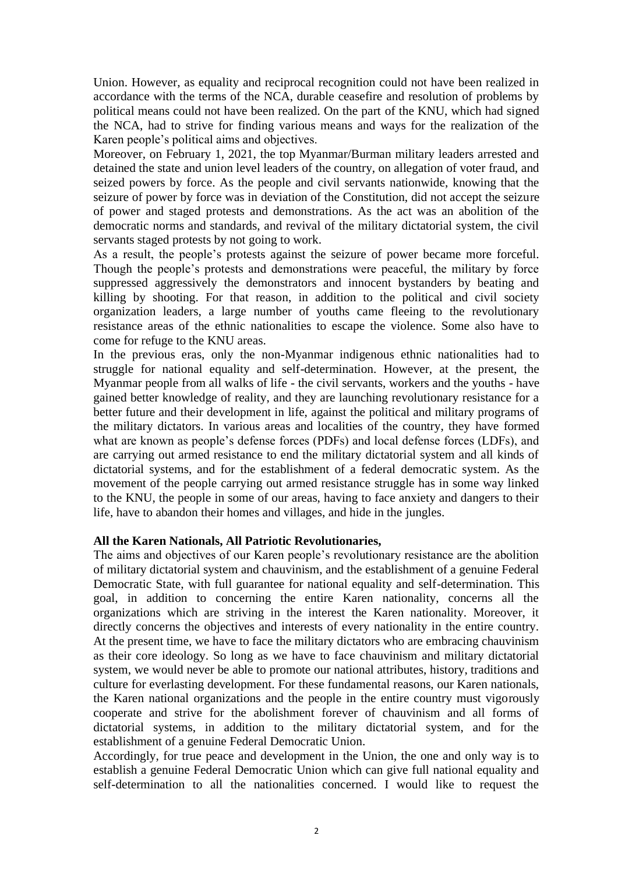Union. However, as equality and reciprocal recognition could not have been realized in accordance with the terms of the NCA, durable ceasefire and resolution of problems by political means could not have been realized. On the part of the KNU, which had signed the NCA, had to strive for finding various means and ways for the realization of the Karen people's political aims and objectives.

Moreover, on February 1, 2021, the top Myanmar/Burman military leaders arrested and detained the state and union level leaders of the country, on allegation of voter fraud, and seized powers by force. As the people and civil servants nationwide, knowing that the seizure of power by force was in deviation of the Constitution, did not accept the seizure of power and staged protests and demonstrations. As the act was an abolition of the democratic norms and standards, and revival of the military dictatorial system, the civil servants staged protests by not going to work.

As a result, the people's protests against the seizure of power became more forceful. Though the people's protests and demonstrations were peaceful, the military by force suppressed aggressively the demonstrators and innocent bystanders by beating and killing by shooting. For that reason, in addition to the political and civil society organization leaders, a large number of youths came fleeing to the revolutionary resistance areas of the ethnic nationalities to escape the violence. Some also have to come for refuge to the KNU areas.

In the previous eras, only the non-Myanmar indigenous ethnic nationalities had to struggle for national equality and self-determination. However, at the present, the Myanmar people from all walks of life - the civil servants, workers and the youths - have gained better knowledge of reality, and they are launching revolutionary resistance for a better future and their development in life, against the political and military programs of the military dictators. In various areas and localities of the country, they have formed what are known as people's defense forces (PDFs) and local defense forces (LDFs), and are carrying out armed resistance to end the military dictatorial system and all kinds of dictatorial systems, and for the establishment of a federal democratic system. As the movement of the people carrying out armed resistance struggle has in some way linked to the KNU, the people in some of our areas, having to face anxiety and dangers to their life, have to abandon their homes and villages, and hide in the jungles.

## **All the Karen Nationals, All Patriotic Revolutionaries,**

The aims and objectives of our Karen people's revolutionary resistance are the abolition of military dictatorial system and chauvinism, and the establishment of a genuine Federal Democratic State, with full guarantee for national equality and self-determination. This goal, in addition to concerning the entire Karen nationality, concerns all the organizations which are striving in the interest the Karen nationality. Moreover, it directly concerns the objectives and interests of every nationality in the entire country. At the present time, we have to face the military dictators who are embracing chauvinism as their core ideology. So long as we have to face chauvinism and military dictatorial system, we would never be able to promote our national attributes, history, traditions and culture for everlasting development. For these fundamental reasons, our Karen nationals, the Karen national organizations and the people in the entire country must vigorously cooperate and strive for the abolishment forever of chauvinism and all forms of dictatorial systems, in addition to the military dictatorial system, and for the establishment of a genuine Federal Democratic Union.

Accordingly, for true peace and development in the Union, the one and only way is to establish a genuine Federal Democratic Union which can give full national equality and self-determination to all the nationalities concerned. I would like to request the